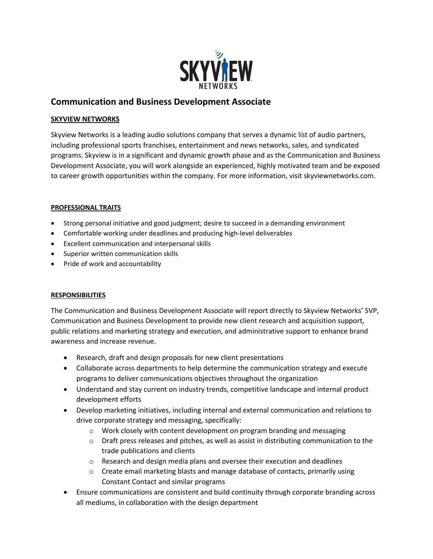

## **Communication and Business Development Associate**

## **SKYVIEW NETWORKS**

Skyview Networks is a leading audio solutions company that serves a dynamic list of audio partners, including professional sports franchises, entertainment and news networks, sales, and syndicated programs. Skyview is in a significant and dynamic growth phase and as the Communication and Business Development Associate, you will work alongside an experienced, highly motivated team and be exposed to career growth opportunities within the company. For more information, visit skyviewnetworks.com.

## **PROFESSIONAL TRAITS**

- Strong personal initiative and good judgment; desire to succeed in a demanding environment
- Comfortable working under deadlines and producing high-level deliverables
- Excellent communication and interpersonal skills
- Superior written communication skills
- Pride of work and accountability

## **RESPONSIBILITIES**

The Communication and Business Development Associate will report directly to Skyview Networks' SVP, Communication and Business Development to provide new client research and acquisition support, public relations and marketing strategy and execution, and administrative support to enhance brand awareness and increase revenue.

- Research, draft and design proposals for new client presentations
- Collaborate across departments to help determine the communication strategy and execute programs to deliver communications objectives throughout the organization
- Understand and stay current on industry trends, competitive landscape and internal product development efforts
- Develop marketing initiatives, including internal and external communication and relations to drive corporate strategy and messaging, specifically:
	- o Work closely with content development on program branding and messaging
	- $\circ$  Draft press releases and pitches, as well as assist in distributing communication to the trade publications and clients
	- o Research and design media plans and oversee their execution and deadlines
	- $\circ$  Create email marketing blasts and manage database of contacts, primarily using Constant Contact and similar programs
- Ensure communications are consistent and build continuity through corporate branding across all mediums, in collaboration with the design department